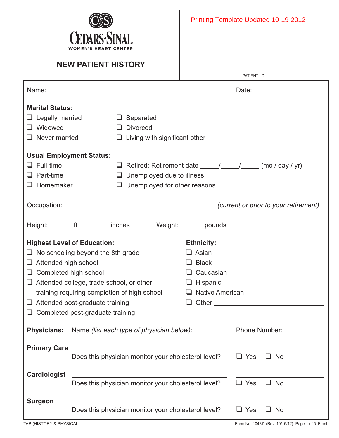

PATIENT I.D.

|                                                                                   |                                                     | Name: Name: 2008 Contract Contract Contract Contract Contract Contract Contract Contract Contract Contract Contract Contract Contract Contract Contract Contract Contract Contract Contract Contract Contract Contract Contrac |                        |                            |  |  |
|-----------------------------------------------------------------------------------|-----------------------------------------------------|--------------------------------------------------------------------------------------------------------------------------------------------------------------------------------------------------------------------------------|------------------------|----------------------------|--|--|
| <b>Marital Status:</b>                                                            |                                                     |                                                                                                                                                                                                                                |                        |                            |  |  |
| $\Box$ Legally married                                                            |                                                     | $\Box$ Separated                                                                                                                                                                                                               |                        |                            |  |  |
| $\Box$ Widowed                                                                    |                                                     | $\Box$ Divorced                                                                                                                                                                                                                |                        |                            |  |  |
| $\Box$ Never married                                                              |                                                     | $\Box$ Living with significant other                                                                                                                                                                                           |                        |                            |  |  |
| <b>Usual Employment Status:</b>                                                   |                                                     |                                                                                                                                                                                                                                |                        |                            |  |  |
| $\Box$ Full-time                                                                  |                                                     |                                                                                                                                                                                                                                |                        |                            |  |  |
| $\Box$ Part-time                                                                  |                                                     | $\Box$ Unemployed due to illness                                                                                                                                                                                               |                        |                            |  |  |
| $\Box$ Homemaker                                                                  |                                                     | $\Box$ Unemployed for other reasons                                                                                                                                                                                            |                        |                            |  |  |
|                                                                                   |                                                     |                                                                                                                                                                                                                                |                        |                            |  |  |
|                                                                                   |                                                     |                                                                                                                                                                                                                                |                        |                            |  |  |
|                                                                                   |                                                     | Height: ________ ft ________ inches Weight: _______ pounds                                                                                                                                                                     |                        |                            |  |  |
|                                                                                   | <b>Highest Level of Education:</b>                  |                                                                                                                                                                                                                                | <b>Ethnicity:</b>      |                            |  |  |
|                                                                                   | $\Box$ No schooling beyond the 8th grade            |                                                                                                                                                                                                                                | $\Box$ Asian           |                            |  |  |
| $\Box$ Attended high school                                                       |                                                     |                                                                                                                                                                                                                                | $\Box$ Black           |                            |  |  |
| $\Box$ Completed high school                                                      |                                                     |                                                                                                                                                                                                                                | $\Box$ Caucasian       |                            |  |  |
|                                                                                   | $\Box$ Attended college, trade school, or other     |                                                                                                                                                                                                                                | $\Box$ Hispanic        |                            |  |  |
|                                                                                   | training requiring completion of high school        |                                                                                                                                                                                                                                | $\Box$ Native American |                            |  |  |
|                                                                                   | $\Box$ Attended post-graduate training              |                                                                                                                                                                                                                                |                        | $\Box$ Other $\Box$        |  |  |
|                                                                                   | $\Box$ Completed post-graduate training             |                                                                                                                                                                                                                                |                        |                            |  |  |
|                                                                                   |                                                     | <b>Physicians:</b> Name (list each type of physician below):                                                                                                                                                                   |                        | Phone Number:              |  |  |
| <b>Primary Care</b>                                                               |                                                     |                                                                                                                                                                                                                                |                        |                            |  |  |
| Does this physician monitor your cholesterol level?<br>$\Box$ Yes<br>$\square$ No |                                                     |                                                                                                                                                                                                                                |                        |                            |  |  |
| <b>Cardiologist</b>                                                               |                                                     |                                                                                                                                                                                                                                |                        |                            |  |  |
|                                                                                   |                                                     | Does this physician monitor your cholesterol level?                                                                                                                                                                            |                        | $\Box$ Yes<br>$\square$ No |  |  |
| <b>Surgeon</b>                                                                    |                                                     |                                                                                                                                                                                                                                |                        |                            |  |  |
|                                                                                   | Does this physician monitor your cholesterol level? | $\Box$ No<br>Yes                                                                                                                                                                                                               |                        |                            |  |  |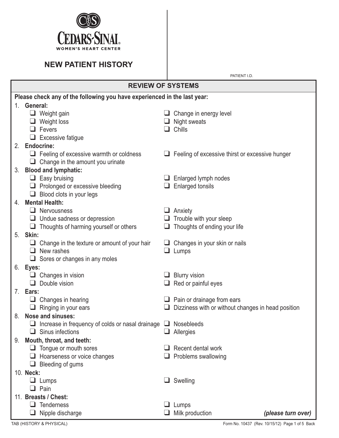

PATIENT I.D.

#### **REVIEW OF SYSTEMS Please check any of the following you have experienced in the last year:** 1. **General:** ❑ Weight gain ❑ Change in energy level ❑ Weight loss ❑ Night sweats ❑ Fevers ❑ Chills ❑ Excessive fatigue 2. **Endocrine:** ❑ Feeling of excessive warmth or coldness ❑ Feeling of excessive thirst or excessive hunger ❑ Change in the amount you urinate 3. **Blood and lymphatic:** ❑ Easy bruising ❑ Enlarged lymph nodes ❑ Prolonged or excessive bleeding ❑ Enlarged tonsils ❑ Blood clots in your legs 4. **Mental Health:** ❑ Nervousness ❑ Anxiety ❑ Undue sadness or depression ❑ Trouble with your sleep ❑ Thoughts of harming yourself or others ❑ Thoughts of ending your life 5. **Skin:**  $\Box$  Change in the texture or amount of your hair  $\Box$  Changes in your skin or nails ❑ New rashes ❑ Lumps ❑ Sores or changes in any moles 6. **Eyes:** ❑ Changes in vision ❑ Blurry vision ❑ Double vision ❑ Red or painful eyes 7. **Ears:** ❑ Changes in hearing ❑ Pain or drainage from ears ❑ Ringing in your ears ❑ Dizziness with or without changes in head position 8. **Nose and sinuses:** ❑ Increase in frequency of colds or nasal drainage ❑ Nosebleeds ❑ Sinus infections ❑ Allergies 9. **Mouth, throat, and teeth:** ❑ Tongue or mouth sores ❑ Recent dental work ❑ Hoarseness or voice changes ❑ Problems swallowing ❑ Bleeding of gums 10. **Neck:** ❑ Lumps ❑ Swelling ❑ Pain 11. **Breasts / Chest:** ❑ Tenderness ❑ Lumps

❑ Nipple discharge ❑ Milk production *(please turn over)*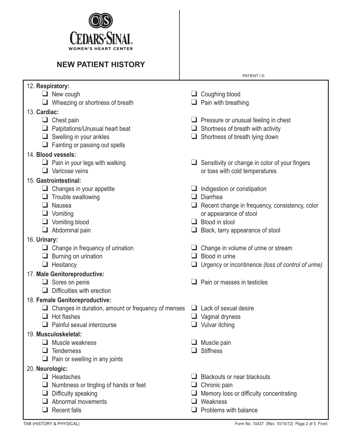

| 12. Respiratory:                                        |                                                         |  |  |  |  |  |  |
|---------------------------------------------------------|---------------------------------------------------------|--|--|--|--|--|--|
| New cough                                               | $\Box$ Coughing blood                                   |  |  |  |  |  |  |
| $\Box$ Wheezing or shortness of breath                  | $\Box$ Pain with breathing                              |  |  |  |  |  |  |
| 13. Cardiac:                                            |                                                         |  |  |  |  |  |  |
| $\Box$ Chest pain                                       | $\Box$ Pressure or unusual feeling in chest             |  |  |  |  |  |  |
| Palpitations/Unusual heart beat<br>⊔                    | $\Box$ Shortness of breath with activity                |  |  |  |  |  |  |
| $\Box$ Swelling in your ankles                          | $\Box$ Shortness of breath lying down                   |  |  |  |  |  |  |
| $\Box$ Fainting or passing out spells                   |                                                         |  |  |  |  |  |  |
| 14. Blood vessels:                                      |                                                         |  |  |  |  |  |  |
| $\Box$ Pain in your legs with walking                   | $\Box$ Sensitivity or change in color of your fingers   |  |  |  |  |  |  |
| $\Box$ Varicose veins                                   | or toes with cold temperatures                          |  |  |  |  |  |  |
| 15. Gastrointestinal:                                   |                                                         |  |  |  |  |  |  |
| $\Box$ Changes in your appetite                         | $\Box$ Indigestion or constipation                      |  |  |  |  |  |  |
| Trouble swallowing<br>u.                                | Diarrhea<br>ப                                           |  |  |  |  |  |  |
| Nausea<br>⊔                                             | $\Box$ Recent change in frequency, consistency, color   |  |  |  |  |  |  |
| Vomiting<br>❏                                           | or appearance of stool                                  |  |  |  |  |  |  |
| $\Box$ Vomiting blood                                   | $\Box$ Blood in stool                                   |  |  |  |  |  |  |
| $\Box$ Abdominal pain                                   | $\Box$ Black, tarry appearance of stool                 |  |  |  |  |  |  |
| 16. Urinary:                                            |                                                         |  |  |  |  |  |  |
| $\Box$ Change in frequency of urination                 | Change in volume of urine or stream                     |  |  |  |  |  |  |
| Burning on urination<br>⊔                               | $\Box$ Blood in urine                                   |  |  |  |  |  |  |
| Hesitancy<br>⊔                                          | Urgency or incontinence (loss of control of urine)<br>⊔ |  |  |  |  |  |  |
| 17. Male Genitoreproductive:                            |                                                         |  |  |  |  |  |  |
| $\Box$ Sores on penis                                   | Pain or masses in testicles<br>ப                        |  |  |  |  |  |  |
| Difficulties with erection<br>ப                         |                                                         |  |  |  |  |  |  |
| 18. Female Genitoreproductive:                          |                                                         |  |  |  |  |  |  |
| Changes in duration, amount or frequency of menses<br>⊔ | $\Box$ Lack of sexual desire                            |  |  |  |  |  |  |
| Hot flashes                                             | $\Box$ Vaginal dryness                                  |  |  |  |  |  |  |
| Painful sexual intercourse<br>⊔                         | $\Box$ Vulvar itching                                   |  |  |  |  |  |  |
| 19. Musculoskeletal:                                    |                                                         |  |  |  |  |  |  |
| Muscle weakness<br>ப                                    | Muscle pain                                             |  |  |  |  |  |  |
| <b>Tenderness</b><br>ப                                  | <b>Stiffness</b>                                        |  |  |  |  |  |  |
| Pain or swelling in any joints<br>u.                    |                                                         |  |  |  |  |  |  |
| 20. Neurologic:                                         |                                                         |  |  |  |  |  |  |
| $\Box$ Headaches                                        | <b>Blackouts or near blackouts</b><br>L. I              |  |  |  |  |  |  |
| Numbness or tingling of hands or feet<br>⊔              | Chronic pain<br>⊔                                       |  |  |  |  |  |  |
| Difficulty speaking<br>⊔                                | Memory loss or difficulty concentrating                 |  |  |  |  |  |  |
| Abnormal movements<br>ப                                 | Weakness<br>ப                                           |  |  |  |  |  |  |
| <b>Recent falls</b><br>⊔                                | Problems with balance                                   |  |  |  |  |  |  |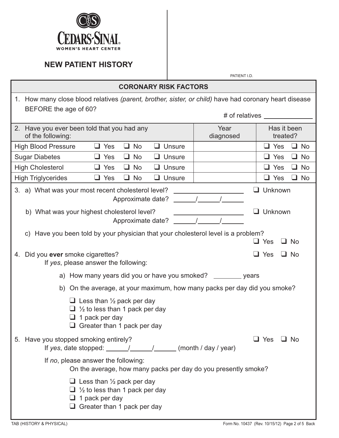

PATIENT I.D.

| <b>CORONARY RISK FACTORS</b>                                                                                                                    |                         |                               |  |  |  |  |
|-------------------------------------------------------------------------------------------------------------------------------------------------|-------------------------|-------------------------------|--|--|--|--|
| 1. How many close blood relatives (parent, brother, sister, or child) have had coronary heart disease<br>BEFORE the age of 60?                  |                         |                               |  |  |  |  |
|                                                                                                                                                 | # of relatives ________ |                               |  |  |  |  |
| 2. Have you ever been told that you had any<br>of the following:                                                                                | Year<br>diagnosed       | Has it been<br>treated?       |  |  |  |  |
| <b>High Blood Pressure</b><br>$\Box$ No<br>Yes<br>Unsure<br>ப                                                                                   |                         | $\Box$ Yes<br>u.<br><b>No</b> |  |  |  |  |
| <b>Sugar Diabetes</b><br>$\Box$ No<br>$\Box$ Unsure<br>$\Box$ Yes                                                                               |                         | $\Box$ No<br>$\Box$ Yes       |  |  |  |  |
| <b>High Cholesterol</b><br>$\Box$ No<br>$\Box$ Unsure<br>$\Box$ Yes                                                                             |                         | $\Box$ Yes<br>$\Box$ No       |  |  |  |  |
| <b>High Triglycerides</b><br>$\Box$ No<br>$\Box$ Yes<br>$\Box$ Unsure                                                                           |                         | $\Box$ Yes<br>$\Box$ No       |  |  |  |  |
| 3. a) What was your most recent cholesterol level?<br>Approximate date?                                                                         |                         | $\Box$ Unknown                |  |  |  |  |
| b) What was your highest cholesterol level?<br>Approximate date?                                                                                |                         | Unknown                       |  |  |  |  |
| c) Have you been told by your physician that your cholesterol level is a problem?                                                               |                         | $\Box$ Yes<br>$\Box$ No       |  |  |  |  |
| Did you ever smoke cigarettes?<br>4.<br>If yes, please answer the following:                                                                    |                         | Yes<br>$\Box$ No              |  |  |  |  |
| a) How many years did you or have you smoked? _________ years                                                                                   |                         |                               |  |  |  |  |
| On the average, at your maximum, how many packs per day did you smoke?<br>b)                                                                    |                         |                               |  |  |  |  |
| Less than $\frac{1}{2}$ pack per day<br>$\frac{1}{2}$ to less than 1 pack per day<br>1 pack per day<br>Greater than 1 pack per day              |                         |                               |  |  |  |  |
| 5. Have you stopped smoking entirely?                                                                                                           |                         | $\sqcup$ Yes<br>⊿ No          |  |  |  |  |
| If no, please answer the following:<br>On the average, how many packs per day do you presently smoke?                                           |                         |                               |  |  |  |  |
| $\Box$ Less than 1/2 pack per day<br>$\Box$ 1/ <sub>2</sub> to less than 1 pack per day<br>1 pack per day<br>$\Box$ Greater than 1 pack per day |                         |                               |  |  |  |  |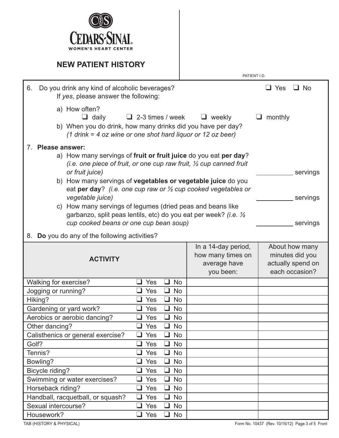

|                                                                                                                                                                                                                                                                                                                                                                                                                                                                                                                                                                             |                                        | PATIENT I.D.                                                          |                                                                          |  |  |  |  |
|-----------------------------------------------------------------------------------------------------------------------------------------------------------------------------------------------------------------------------------------------------------------------------------------------------------------------------------------------------------------------------------------------------------------------------------------------------------------------------------------------------------------------------------------------------------------------------|----------------------------------------|-----------------------------------------------------------------------|--------------------------------------------------------------------------|--|--|--|--|
| Do you drink any kind of alcoholic beverages?<br>6.<br>If yes, please answer the following:                                                                                                                                                                                                                                                                                                                                                                                                                                                                                 |                                        |                                                                       | $\Box$ No<br>$\Box$ Yes                                                  |  |  |  |  |
| a) How often?<br>$\Box$ daily<br>b) When you do drink, how many drinks did you have per day?<br>$(1$ drink = 4 oz wine or one shot hard liquor or 12 oz beer)                                                                                                                                                                                                                                                                                                                                                                                                               | $\Box$ 2-3 times / week                | $\Box$ weekly                                                         | monthly                                                                  |  |  |  |  |
| 7. Please answer:<br>a) How many servings of fruit or fruit juice do you eat per day?<br>(i.e. one piece of fruit, or one cup raw fruit, $\frac{1}{2}$ cup canned fruit<br>or fruit juice)<br>servings<br>b) How many servings of vegetables or vegetable juice do you<br>eat per day? (i.e. one cup raw or $\frac{1}{2}$ cup cooked vegetables or<br>vegetable juice)<br>servings<br>c) How many servings of legumes (dried peas and beans like<br>garbanzo, split peas lentils, etc) do you eat per week? (i.e. 1/2<br>cup cooked beans or one cup bean soup)<br>servings |                                        |                                                                       |                                                                          |  |  |  |  |
| Do you do any of the following activities?<br>8.                                                                                                                                                                                                                                                                                                                                                                                                                                                                                                                            |                                        |                                                                       |                                                                          |  |  |  |  |
| <b>ACTIVITY</b>                                                                                                                                                                                                                                                                                                                                                                                                                                                                                                                                                             |                                        | In a 14-day period,<br>how many times on<br>average have<br>you been: | About how many<br>minutes did you<br>actually spend on<br>each occasion? |  |  |  |  |
| Walking for exercise?                                                                                                                                                                                                                                                                                                                                                                                                                                                                                                                                                       | <b>No</b><br>$\Box$<br>Yes             |                                                                       |                                                                          |  |  |  |  |
| Jogging or running?                                                                                                                                                                                                                                                                                                                                                                                                                                                                                                                                                         | $\Box$<br>Yes<br><b>No</b>             |                                                                       |                                                                          |  |  |  |  |
| Hiking?                                                                                                                                                                                                                                                                                                                                                                                                                                                                                                                                                                     | $\Box$<br><b>No</b><br>Yes             |                                                                       |                                                                          |  |  |  |  |
| Gardening or yard work?                                                                                                                                                                                                                                                                                                                                                                                                                                                                                                                                                     | $\Box$<br><b>No</b><br>Yes             |                                                                       |                                                                          |  |  |  |  |
| Aerobics or aerobic dancing?                                                                                                                                                                                                                                                                                                                                                                                                                                                                                                                                                | $\Box$<br>$\Box$ Yes<br><b>No</b>      |                                                                       |                                                                          |  |  |  |  |
| Other dancing?                                                                                                                                                                                                                                                                                                                                                                                                                                                                                                                                                              | Yes<br>$\Box$<br><b>No</b><br>$\sqcup$ |                                                                       |                                                                          |  |  |  |  |
| Calisthenics or general exercise?                                                                                                                                                                                                                                                                                                                                                                                                                                                                                                                                           | Yes<br><b>No</b><br>$\Box$<br>ப        |                                                                       |                                                                          |  |  |  |  |
| Golf?                                                                                                                                                                                                                                                                                                                                                                                                                                                                                                                                                                       | Yes<br>$\Box$<br><b>No</b><br>$\Box$   |                                                                       |                                                                          |  |  |  |  |
| Tennis?                                                                                                                                                                                                                                                                                                                                                                                                                                                                                                                                                                     | Yes<br>$\Box$<br><b>No</b><br>⊔        |                                                                       |                                                                          |  |  |  |  |
| Bowling?                                                                                                                                                                                                                                                                                                                                                                                                                                                                                                                                                                    | Yes<br><b>No</b><br>❏                  |                                                                       |                                                                          |  |  |  |  |
| Bicycle riding?                                                                                                                                                                                                                                                                                                                                                                                                                                                                                                                                                             | Yes<br>$\Box$<br><b>No</b><br>┚        |                                                                       |                                                                          |  |  |  |  |
| Swimming or water exercises?                                                                                                                                                                                                                                                                                                                                                                                                                                                                                                                                                | Yes<br>$\Box$<br><b>No</b><br>┙        |                                                                       |                                                                          |  |  |  |  |
| Horseback riding?                                                                                                                                                                                                                                                                                                                                                                                                                                                                                                                                                           | Yes<br>$\Box$<br><b>No</b><br>⊔        |                                                                       |                                                                          |  |  |  |  |
| Handball, racquetball, or squash?                                                                                                                                                                                                                                                                                                                                                                                                                                                                                                                                           | $\Box$ Yes<br>$\Box$<br><b>No</b>      |                                                                       |                                                                          |  |  |  |  |
| Sexual intercourse?                                                                                                                                                                                                                                                                                                                                                                                                                                                                                                                                                         | Yes<br>$\Box$<br><b>No</b><br>$\Box$   |                                                                       |                                                                          |  |  |  |  |
| Housework?                                                                                                                                                                                                                                                                                                                                                                                                                                                                                                                                                                  | $\Box$<br>Yes<br>$\Box$<br><b>No</b>   |                                                                       |                                                                          |  |  |  |  |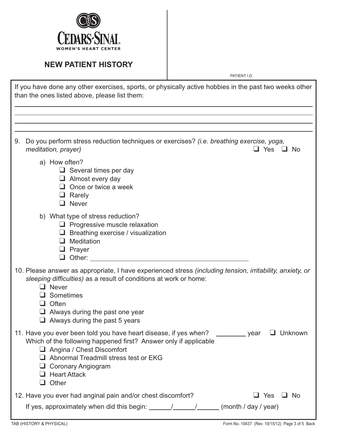

PATIENT I.D.

| If you have done any other exercises, sports, or physically active hobbies in the past two weeks other<br>than the ones listed above, please list them:                                                                                                                                                               |
|-----------------------------------------------------------------------------------------------------------------------------------------------------------------------------------------------------------------------------------------------------------------------------------------------------------------------|
|                                                                                                                                                                                                                                                                                                                       |
| Do you perform stress reduction techniques or exercises? (i.e. breathing exercise, yoga,<br>9.<br>meditation, prayer)<br>コ Yes ロ No                                                                                                                                                                                   |
| a) How often?<br>$\Box$ Several times per day<br>$\Box$ Almost every day<br>$\Box$ Once or twice a week<br>$\Box$ Rarely<br>$\Box$ Never                                                                                                                                                                              |
| b) What type of stress reduction?<br>$\Box$ Progressive muscle relaxation<br>$\Box$ Breathing exercise / visualization<br>Meditation<br>ப<br>$\Box$ Prayer<br>$\Box$ Other:                                                                                                                                           |
| 10. Please answer as appropriate, I have experienced stress (including tension, irritability, anxiety, or<br>sleeping difficulties) as a result of conditions at work or home:<br>$\Box$ Never<br>$\Box$ Sometimes<br>$\Box$ Often<br>$\Box$ Always during the past one year<br>$\Box$ Always during the past 5 years |
| 11. Have you ever been told you have heart disease, if yes when?<br>Unknown<br>_year<br>Which of the following happened first? Answer only if applicable<br>Angina / Chest Discomfort<br>$\Box$ Abnormal Treadmill stress test or EKG<br>□ Coronary Angiogram<br>$\Box$ Heart Attack<br>$\Box$ Other                  |
| 12. Have you ever had anginal pain and/or chest discomfort?<br>Yes<br>∐ No<br>– ⊔<br>If yes, approximately when did this begin: $\frac{1}{\sqrt{2}}$ / $\frac{1}{\sqrt{2}}$ (month / day / year)                                                                                                                      |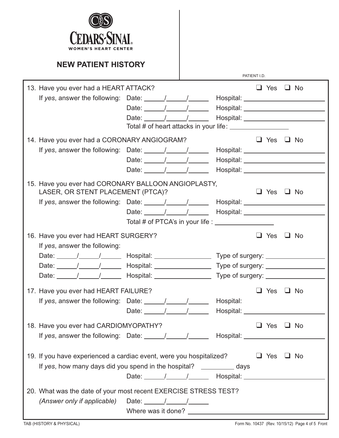

|                                                                                                                  |                                        |                                       | PATIENT I.D. |                      |           |
|------------------------------------------------------------------------------------------------------------------|----------------------------------------|---------------------------------------|--------------|----------------------|-----------|
| 13. Have you ever had a HEART ATTACK?                                                                            |                                        |                                       |              | $\Box$ Yes $\Box$ No |           |
| If yes, answer the following: Date: $\frac{1}{\sqrt{1-\frac{1}{2}}}\$                                            |                                        | Hospital: __________________          |              |                      |           |
|                                                                                                                  | Date: $\frac{1}{\sqrt{2}}$             | Hospital: _____________________       |              |                      |           |
|                                                                                                                  | Date: $/$ /                            |                                       |              |                      |           |
|                                                                                                                  |                                        |                                       |              |                      |           |
| 14. Have you ever had a CORONARY ANGIOGRAM?                                                                      |                                        |                                       |              | $\Box$ Yes           | $\Box$ No |
| If yes, answer the following: Date: $\frac{1}{\sqrt{1-\frac{1}{2}}}\left  \frac{1}{\sqrt{1-\frac{1}{2}}}\right $ |                                        |                                       |              |                      |           |
|                                                                                                                  | Date: $\frac{1}{\sqrt{1-\frac{1}{2}}}$ | Hospital: ______________________      |              |                      |           |
|                                                                                                                  | Date: $/$ /                            |                                       |              |                      |           |
| 15. Have you ever had CORONARY BALLOON ANGIOPLASTY,                                                              |                                        |                                       |              |                      |           |
| LASER, OR STENT PLACEMENT (PTCA)?                                                                                |                                        |                                       |              | $\Box$ Yes $\Box$ No |           |
| If yes, answer the following: Date: $\frac{1}{\sqrt{1-\frac{1}{2}}}\$                                            |                                        | Hospital: ____________________        |              |                      |           |
|                                                                                                                  |                                        |                                       |              |                      |           |
|                                                                                                                  |                                        |                                       |              |                      |           |
| 16. Have you ever had HEART SURGERY?                                                                             |                                        |                                       |              | Yes                  | $\Box$ No |
| If yes, answer the following:                                                                                    |                                        |                                       |              |                      |           |
|                                                                                                                  |                                        | Type of surgery: _________________    |              |                      |           |
| Date: $\frac{1}{\sqrt{2\pi}}$                                                                                    | Hospital: __________________           | Type of surgery: ____________________ |              |                      |           |
| Date: $\frac{1}{\sqrt{2\pi}}$                                                                                    | Hospital: _________________            | Type of surgery: __________________   |              |                      |           |
| 17. Have you ever had HEART FAILURE?                                                                             |                                        |                                       |              | $\Box$ Yes           | $\Box$ No |
| If yes, answer the following: Date: $\frac{1}{\sqrt{1-\frac{1}{2}}}\$                                            |                                        |                                       |              |                      |           |
|                                                                                                                  |                                        | Hospital:                             |              |                      |           |
|                                                                                                                  | Date: $\frac{1}{\sqrt{1-\frac{1}{2}}}$ | Hospital: Nospital:                   |              |                      |           |
| 18. Have you ever had CARDIOMYOPATHY?                                                                            |                                        |                                       |              | $\Box$ Yes $\Box$ No |           |
| If yes, answer the following: Date: _____/_____/_______ Hospital: ______________                                 |                                        |                                       |              |                      |           |
|                                                                                                                  |                                        |                                       |              |                      |           |
| 19. If you have experienced a cardiac event, were you hospitalized?                                              |                                        |                                       |              | $\Box$ Yes           | $\Box$ No |
| If yes, how many days did you spend in the hospital? ____________ days                                           |                                        |                                       |              |                      |           |
|                                                                                                                  |                                        |                                       |              |                      |           |
| 20. What was the date of your most recent EXERCISE STRESS TEST?                                                  |                                        |                                       |              |                      |           |
| (Answer only if applicable) Date: $\frac{1}{\sqrt{2\pi}}$                                                        |                                        |                                       |              |                      |           |
|                                                                                                                  |                                        |                                       |              |                      |           |
|                                                                                                                  |                                        |                                       |              |                      |           |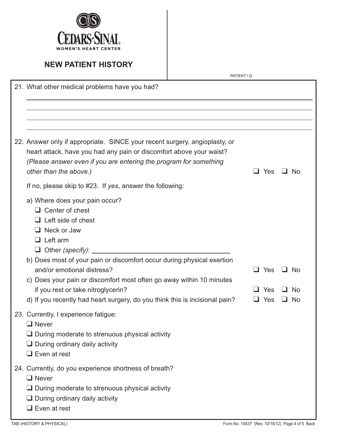

|                                                                                                                                                                                                                                                                                                                                                                                                                                                    | PATIENT I.D. |     |            |     |                        |
|----------------------------------------------------------------------------------------------------------------------------------------------------------------------------------------------------------------------------------------------------------------------------------------------------------------------------------------------------------------------------------------------------------------------------------------------------|--------------|-----|------------|-----|------------------------|
| 21. What other medical problems have you had?                                                                                                                                                                                                                                                                                                                                                                                                      |              |     |            |     |                        |
| 22. Answer only if appropriate. SINCE your recent surgery, angioplasty, or<br>heart attack, have you had any pain or discomfort above your waist?<br>(Please answer even if you are entering the program for something<br>other than the above.)                                                                                                                                                                                                   |              | l 1 | Yes        |     | - No                   |
| If no, please skip to #23. If yes, answer the following:<br>a) Where does your pain occur?<br>$\Box$ Center of chest<br>$\Box$ Left side of chest<br>$\Box$ Neck or Jaw<br>$\Box$ Left arm<br>$\Box$ Other (specify): $\Box$<br>b) Does most of your pain or discomfort occur during physical exertion<br>and/or emotional distress?<br>c) Does your pain or discomfort most often go away within 10 minutes<br>if you rest or take nitroglycerin? |              | L I | Yes<br>Yes | - 1 | <b>No</b><br><b>No</b> |
| d) If you recently had heart surgery, do you think this is incisional pain?<br>23. Currently, I experience fatigue:<br>$\Box$ Never<br>$\Box$ During moderate to strenuous physical activity<br>$\Box$ During ordinary daily activity<br>$\Box$ Even at rest                                                                                                                                                                                       |              |     | Yes        |     | No.                    |
| 24. Currently, do you experience shortness of breath?<br>$\Box$ Never<br>$\Box$ During moderate to strenuous physical activity<br>$\Box$ During ordinary daily activity<br>$\Box$ Even at rest                                                                                                                                                                                                                                                     |              |     |            |     |                        |